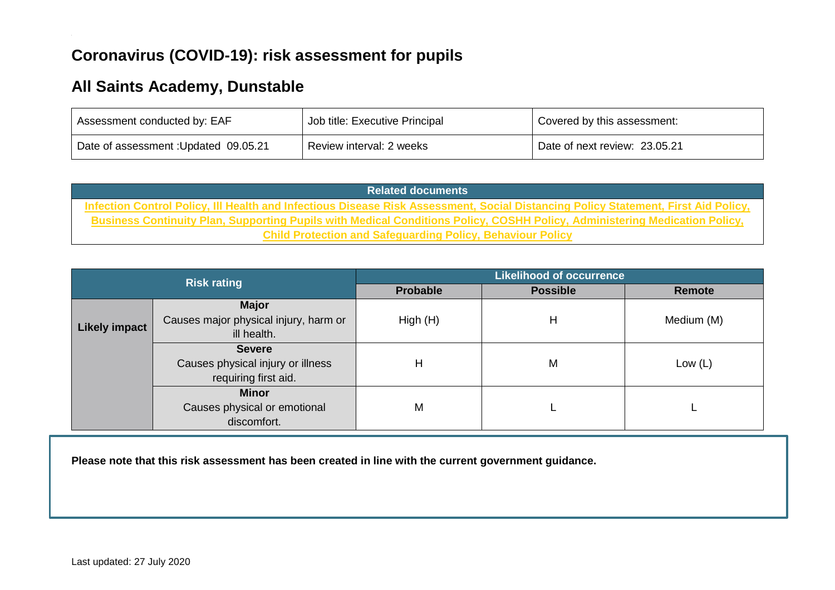## **Coronavirus (COVID-19): risk assessment for pupils**

## **All Saints Academy, Dunstable**

| Assessment conducted by: EAF         | Job title: Executive Principal | Covered by this assessment:   |
|--------------------------------------|--------------------------------|-------------------------------|
| Date of assessment: Updated 09.05.21 | Review interval: 2 weeks       | Date of next review: 23.05.21 |

| <b>Related documents</b>                                                                                                           |
|------------------------------------------------------------------------------------------------------------------------------------|
| Infection Control Policy, III Health and Infectious Disease Risk Assessment, Social Distancing Policy Statement, First Aid Policy, |
| Business Continuity Plan, Supporting Pupils with Medical Conditions Policy, COSHH Policy, Administering Medication Policy,         |
| <b>Child Protection and Safeguarding Policy, Behaviour Policy</b>                                                                  |

|                      | <b>Risk rating</b>                    | <b>Likelihood of occurrence</b> |                 |            |  |  |  |
|----------------------|---------------------------------------|---------------------------------|-----------------|------------|--|--|--|
|                      |                                       | <b>Probable</b>                 | <b>Possible</b> | Remote     |  |  |  |
|                      | <b>Major</b>                          |                                 |                 |            |  |  |  |
|                      | Causes major physical injury, harm or | High(H)                         | Н               | Medium (M) |  |  |  |
| <b>Likely impact</b> | ill health.                           |                                 |                 |            |  |  |  |
|                      | <b>Severe</b>                         |                                 |                 |            |  |  |  |
|                      | Causes physical injury or illness     | Η                               | M               | Low $(L)$  |  |  |  |
|                      | requiring first aid.                  |                                 |                 |            |  |  |  |
|                      | <b>Minor</b>                          |                                 |                 |            |  |  |  |
|                      | Causes physical or emotional          | M                               |                 |            |  |  |  |
|                      | discomfort.                           |                                 |                 |            |  |  |  |

**Please note that this risk assessment has been created in line with the current government guidance.**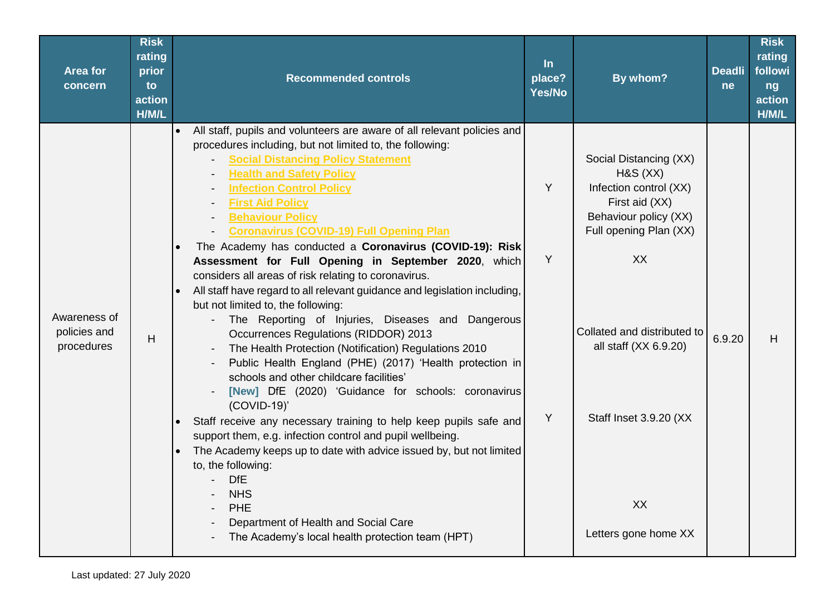| <b>Area for</b><br>concern                 | <b>Risk</b><br>rating<br>prior<br>to<br>action<br>H/M/L | <b>Recommended controls</b>                                                                                                                                                                                                                                                                                                                                                                                                                                                                                                                                                                                                                                                                                                                                                                                                                                                                                                                                                                                                                                                                                                                                                                                                                                                                                                                                        | $\ln$<br>place?<br>Yes/No | By whom?                                                                                                                                                                                                                                                | <b>Deadli</b><br><sub>ne</sub> | <b>Risk</b><br>rating<br>followi<br>ng<br>action<br>H/M/L |
|--------------------------------------------|---------------------------------------------------------|--------------------------------------------------------------------------------------------------------------------------------------------------------------------------------------------------------------------------------------------------------------------------------------------------------------------------------------------------------------------------------------------------------------------------------------------------------------------------------------------------------------------------------------------------------------------------------------------------------------------------------------------------------------------------------------------------------------------------------------------------------------------------------------------------------------------------------------------------------------------------------------------------------------------------------------------------------------------------------------------------------------------------------------------------------------------------------------------------------------------------------------------------------------------------------------------------------------------------------------------------------------------------------------------------------------------------------------------------------------------|---------------------------|---------------------------------------------------------------------------------------------------------------------------------------------------------------------------------------------------------------------------------------------------------|--------------------------------|-----------------------------------------------------------|
| Awareness of<br>policies and<br>procedures | H                                                       | All staff, pupils and volunteers are aware of all relevant policies and<br>procedures including, but not limited to, the following:<br><b>Social Distancing Policy Statement</b><br><b>Health and Safety Policy</b><br><b>Infection Control Policy</b><br><b>First Aid Policy</b><br><b>Behaviour Policy</b><br><b>Coronavirus (COVID-19) Full Opening Plan</b><br>The Academy has conducted a Coronavirus (COVID-19): Risk<br>Assessment for Full Opening in September 2020, which<br>considers all areas of risk relating to coronavirus.<br>All staff have regard to all relevant guidance and legislation including,<br>but not limited to, the following:<br>The Reporting of Injuries, Diseases and Dangerous<br>Occurrences Regulations (RIDDOR) 2013<br>The Health Protection (Notification) Regulations 2010<br>Public Health England (PHE) (2017) 'Health protection in<br>schools and other childcare facilities'<br>[New] DfE (2020) 'Guidance for schools: coronavirus<br>$(COVID-19)'$<br>Staff receive any necessary training to help keep pupils safe and<br>support them, e.g. infection control and pupil wellbeing.<br>The Academy keeps up to date with advice issued by, but not limited<br>to, the following:<br><b>DfE</b><br><b>NHS</b><br>PHE<br>Department of Health and Social Care<br>The Academy's local health protection team (HPT) | Y<br>Y<br>Y               | Social Distancing (XX)<br>HAS (XX)<br>Infection control (XX)<br>First aid (XX)<br>Behaviour policy (XX)<br>Full opening Plan (XX)<br>XX<br>Collated and distributed to<br>all staff (XX 6.9.20)<br>Staff Inset 3.9.20 (XX<br>XX<br>Letters gone home XX | 6.9.20                         | H                                                         |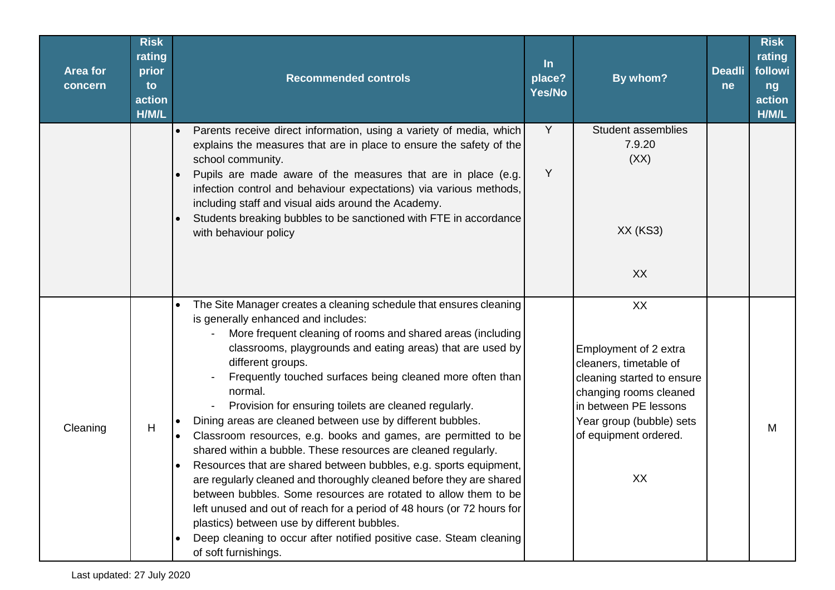| <b>Area for</b><br>concern | <b>Risk</b><br>rating<br>prior<br>to<br>action<br>H/M/L | <b>Recommended controls</b>                                                                                                                                                                                                                                                                                                                                                                                                                                                                                                                                                                                                                                                                                                                                                                                                                                                                                                                                                                                                           | $\ln$<br>place?<br>Yes/No | By whom?                                                                                                                                                                                          | <b>Deadli</b><br>ne | <b>Risk</b><br>rating<br>followi<br>ng<br>action<br>H/M/L |
|----------------------------|---------------------------------------------------------|---------------------------------------------------------------------------------------------------------------------------------------------------------------------------------------------------------------------------------------------------------------------------------------------------------------------------------------------------------------------------------------------------------------------------------------------------------------------------------------------------------------------------------------------------------------------------------------------------------------------------------------------------------------------------------------------------------------------------------------------------------------------------------------------------------------------------------------------------------------------------------------------------------------------------------------------------------------------------------------------------------------------------------------|---------------------------|---------------------------------------------------------------------------------------------------------------------------------------------------------------------------------------------------|---------------------|-----------------------------------------------------------|
|                            |                                                         | Parents receive direct information, using a variety of media, which<br>explains the measures that are in place to ensure the safety of the<br>school community.<br>Pupils are made aware of the measures that are in place (e.g.<br>infection control and behaviour expectations) via various methods,<br>including staff and visual aids around the Academy.<br>Students breaking bubbles to be sanctioned with FTE in accordance<br>with behaviour policy                                                                                                                                                                                                                                                                                                                                                                                                                                                                                                                                                                           | Y<br>Y                    | <b>Student assemblies</b><br>7.9.20<br>(XX)<br>XX (KS3)<br>XX                                                                                                                                     |                     |                                                           |
| Cleaning                   | H                                                       | The Site Manager creates a cleaning schedule that ensures cleaning<br>is generally enhanced and includes:<br>More frequent cleaning of rooms and shared areas (including<br>classrooms, playgrounds and eating areas) that are used by<br>different groups.<br>Frequently touched surfaces being cleaned more often than<br>normal.<br>Provision for ensuring toilets are cleaned regularly.<br>Dining areas are cleaned between use by different bubbles.<br>Classroom resources, e.g. books and games, are permitted to be<br>shared within a bubble. These resources are cleaned regularly.<br>Resources that are shared between bubbles, e.g. sports equipment,<br>are regularly cleaned and thoroughly cleaned before they are shared<br>between bubbles. Some resources are rotated to allow them to be<br>left unused and out of reach for a period of 48 hours (or 72 hours for<br>plastics) between use by different bubbles.<br>Deep cleaning to occur after notified positive case. Steam cleaning<br>of soft furnishings. |                           | XX<br>Employment of 2 extra<br>cleaners, timetable of<br>cleaning started to ensure<br>changing rooms cleaned<br>in between PE lessons<br>Year group (bubble) sets<br>of equipment ordered.<br>XX |                     | M                                                         |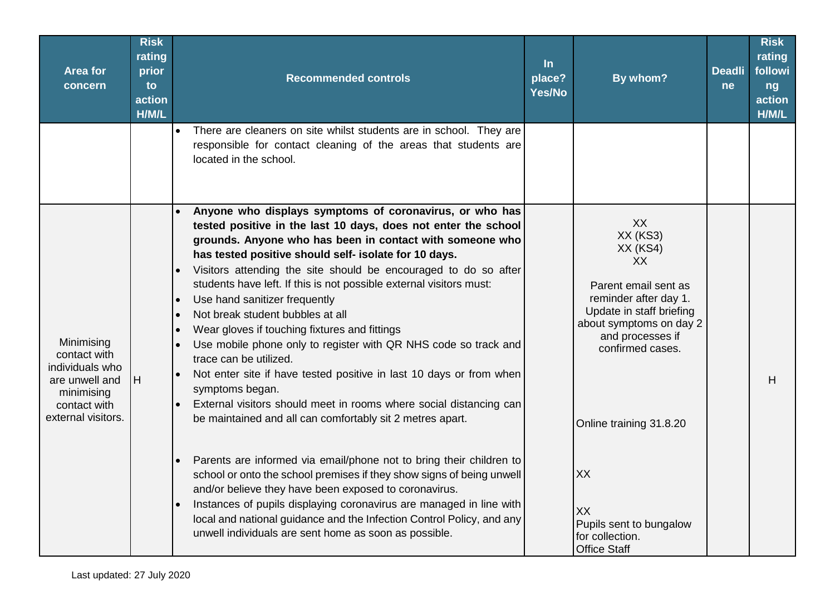| <b>Area for</b><br>concern                                                                                          | <b>Risk</b><br>rating<br>prior<br>to<br>action<br>H/M/L | <b>Recommended controls</b>                                                                                                                                                                                                                                                                                                                                                                                                                                                                                                                                                                                                                                                                                                                                                                                                                                                                                                                                                                                                                                                                                                                                                                                                                                | In<br>place?<br>Yes/No | By whom?                                                                                                                                                                                                                                                              | <b>Deadli</b><br><sub>ne</sub> | <b>Risk</b><br>rating<br>followi<br>ng<br>action<br>H/M/L |
|---------------------------------------------------------------------------------------------------------------------|---------------------------------------------------------|------------------------------------------------------------------------------------------------------------------------------------------------------------------------------------------------------------------------------------------------------------------------------------------------------------------------------------------------------------------------------------------------------------------------------------------------------------------------------------------------------------------------------------------------------------------------------------------------------------------------------------------------------------------------------------------------------------------------------------------------------------------------------------------------------------------------------------------------------------------------------------------------------------------------------------------------------------------------------------------------------------------------------------------------------------------------------------------------------------------------------------------------------------------------------------------------------------------------------------------------------------|------------------------|-----------------------------------------------------------------------------------------------------------------------------------------------------------------------------------------------------------------------------------------------------------------------|--------------------------------|-----------------------------------------------------------|
|                                                                                                                     |                                                         | There are cleaners on site whilst students are in school. They are<br>responsible for contact cleaning of the areas that students are<br>located in the school.                                                                                                                                                                                                                                                                                                                                                                                                                                                                                                                                                                                                                                                                                                                                                                                                                                                                                                                                                                                                                                                                                            |                        |                                                                                                                                                                                                                                                                       |                                |                                                           |
| Minimising<br>contact with<br>individuals who<br>are unwell and<br>minimising<br>contact with<br>external visitors. | IН.                                                     | Anyone who displays symptoms of coronavirus, or who has<br>tested positive in the last 10 days, does not enter the school<br>grounds. Anyone who has been in contact with someone who<br>has tested positive should self- isolate for 10 days.<br>Visitors attending the site should be encouraged to do so after<br>students have left. If this is not possible external visitors must:<br>Use hand sanitizer frequently<br>Not break student bubbles at all<br>Wear gloves if touching fixtures and fittings<br>Use mobile phone only to register with QR NHS code so track and<br>trace can be utilized.<br>Not enter site if have tested positive in last 10 days or from when<br>symptoms began.<br>External visitors should meet in rooms where social distancing can<br>be maintained and all can comfortably sit 2 metres apart.<br>Parents are informed via email/phone not to bring their children to<br>school or onto the school premises if they show signs of being unwell<br>and/or believe they have been exposed to coronavirus.<br>Instances of pupils displaying coronavirus are managed in line with<br>local and national guidance and the Infection Control Policy, and any<br>unwell individuals are sent home as soon as possible. |                        | XX<br>XX (KS3)<br>XX (KS4)<br>XX<br>Parent email sent as<br>reminder after day 1.<br>Update in staff briefing<br>about symptoms on day 2<br>and processes if<br>confirmed cases.<br>Online training 31.8.20<br>XX<br>XX<br>Pupils sent to bungalow<br>for collection. |                                | H                                                         |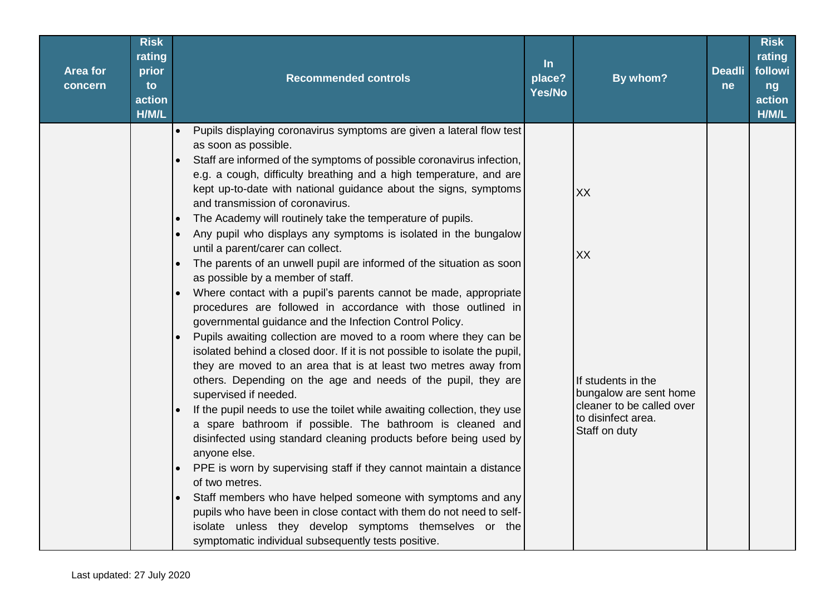| Area for<br>concern | <b>Risk</b><br>rating<br>prior<br>to<br>action<br>H/M/L | <b>Recommended controls</b>                                                                                                                                                                                                                                                                                                                                                                                                                                                                                                                                                                                                                                                                                                                                                                                                                                                                                                                                                                                                                                                                                                                                                                                                                                                                                                                                                                                                                                                                                                                                                                                                                                                                                                         | $\ln$<br>place?<br>Yes/No | By whom?                                                                                                                                   | <b>Deadli</b><br>ne | <b>Risk</b><br>rating<br>followi<br>ng<br>action<br>H/M/L |
|---------------------|---------------------------------------------------------|-------------------------------------------------------------------------------------------------------------------------------------------------------------------------------------------------------------------------------------------------------------------------------------------------------------------------------------------------------------------------------------------------------------------------------------------------------------------------------------------------------------------------------------------------------------------------------------------------------------------------------------------------------------------------------------------------------------------------------------------------------------------------------------------------------------------------------------------------------------------------------------------------------------------------------------------------------------------------------------------------------------------------------------------------------------------------------------------------------------------------------------------------------------------------------------------------------------------------------------------------------------------------------------------------------------------------------------------------------------------------------------------------------------------------------------------------------------------------------------------------------------------------------------------------------------------------------------------------------------------------------------------------------------------------------------------------------------------------------------|---------------------------|--------------------------------------------------------------------------------------------------------------------------------------------|---------------------|-----------------------------------------------------------|
|                     |                                                         | Pupils displaying coronavirus symptoms are given a lateral flow test<br>as soon as possible.<br>Staff are informed of the symptoms of possible coronavirus infection,<br>e.g. a cough, difficulty breathing and a high temperature, and are<br>kept up-to-date with national guidance about the signs, symptoms<br>and transmission of coronavirus.<br>The Academy will routinely take the temperature of pupils.<br>Any pupil who displays any symptoms is isolated in the bungalow<br>until a parent/carer can collect.<br>The parents of an unwell pupil are informed of the situation as soon<br>as possible by a member of staff.<br>Where contact with a pupil's parents cannot be made, appropriate<br>procedures are followed in accordance with those outlined in<br>governmental guidance and the Infection Control Policy.<br>Pupils awaiting collection are moved to a room where they can be<br>isolated behind a closed door. If it is not possible to isolate the pupil,<br>they are moved to an area that is at least two metres away from<br>others. Depending on the age and needs of the pupil, they are<br>supervised if needed.<br>If the pupil needs to use the toilet while awaiting collection, they use<br>a spare bathroom if possible. The bathroom is cleaned and<br>disinfected using standard cleaning products before being used by<br>anyone else.<br>PPE is worn by supervising staff if they cannot maintain a distance<br>of two metres.<br>Staff members who have helped someone with symptoms and any<br>pupils who have been in close contact with them do not need to self-<br>isolate unless they develop symptoms themselves or the<br>symptomatic individual subsequently tests positive. |                           | <b>XX</b><br><b>XX</b><br>If students in the<br>bungalow are sent home<br>cleaner to be called over<br>to disinfect area.<br>Staff on duty |                     |                                                           |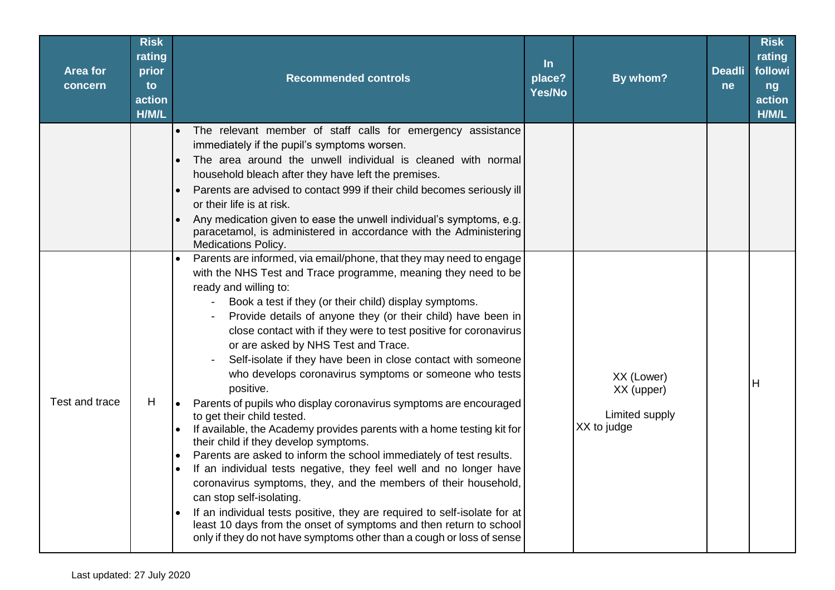| <b>Area for</b><br>concern | <b>Risk</b><br>rating<br>prior<br>to<br>action<br>H/M/L | <b>Recommended controls</b>                                                                                                                                                                                                                                                                                                                                                                                                                                                                                                                                                                                                                                                                                                                                                                                                                                                                                                                                                                                                                                                                                                                                                                                                              | $\ln$<br>place?<br>Yes/No | By whom?                                                  | <b>Deadli</b><br>ne | <b>Risk</b><br>rating<br>followi<br>ng<br>action<br>H/M/L |
|----------------------------|---------------------------------------------------------|------------------------------------------------------------------------------------------------------------------------------------------------------------------------------------------------------------------------------------------------------------------------------------------------------------------------------------------------------------------------------------------------------------------------------------------------------------------------------------------------------------------------------------------------------------------------------------------------------------------------------------------------------------------------------------------------------------------------------------------------------------------------------------------------------------------------------------------------------------------------------------------------------------------------------------------------------------------------------------------------------------------------------------------------------------------------------------------------------------------------------------------------------------------------------------------------------------------------------------------|---------------------------|-----------------------------------------------------------|---------------------|-----------------------------------------------------------|
|                            |                                                         | The relevant member of staff calls for emergency assistance<br>immediately if the pupil's symptoms worsen.<br>The area around the unwell individual is cleaned with normal<br>household bleach after they have left the premises.<br>Parents are advised to contact 999 if their child becomes seriously ill<br>or their life is at risk.<br>Any medication given to ease the unwell individual's symptoms, e.g.<br>paracetamol, is administered in accordance with the Administering<br><b>Medications Policy.</b>                                                                                                                                                                                                                                                                                                                                                                                                                                                                                                                                                                                                                                                                                                                      |                           |                                                           |                     |                                                           |
| Test and trace             | H                                                       | Parents are informed, via email/phone, that they may need to engage<br>with the NHS Test and Trace programme, meaning they need to be<br>ready and willing to:<br>Book a test if they (or their child) display symptoms.<br>Provide details of anyone they (or their child) have been in<br>close contact with if they were to test positive for coronavirus<br>or are asked by NHS Test and Trace.<br>Self-isolate if they have been in close contact with someone<br>who develops coronavirus symptoms or someone who tests<br>positive.<br>Parents of pupils who display coronavirus symptoms are encouraged<br>to get their child tested.<br>If available, the Academy provides parents with a home testing kit for<br>their child if they develop symptoms.<br>Parents are asked to inform the school immediately of test results.<br>If an individual tests negative, they feel well and no longer have<br>coronavirus symptoms, they, and the members of their household,<br>can stop self-isolating.<br>If an individual tests positive, they are required to self-isolate for at<br>least 10 days from the onset of symptoms and then return to school<br>only if they do not have symptoms other than a cough or loss of sense |                           | XX (Lower)<br>XX (upper)<br>Limited supply<br>XX to judge |                     | н                                                         |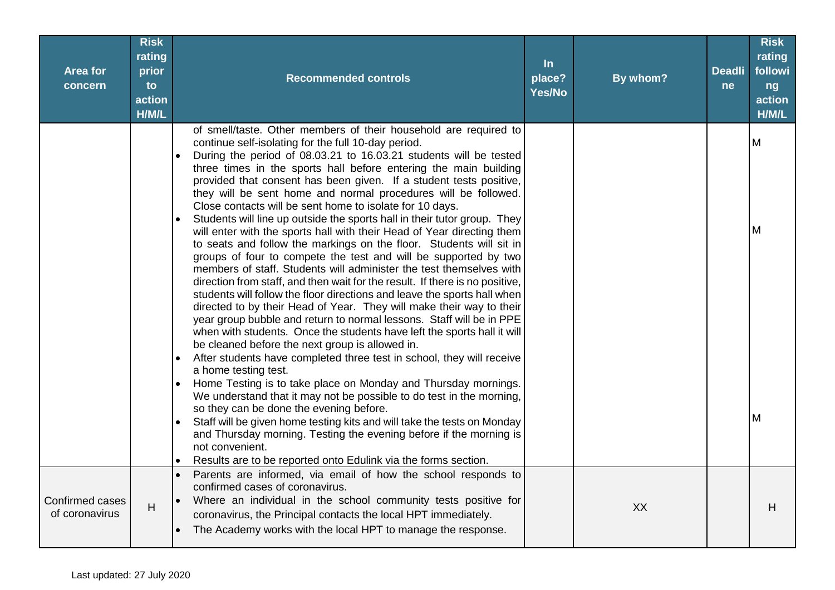| <b>Area for</b><br>concern        | <b>Risk</b><br>rating<br>prior<br>to<br>action<br>H/M/L | <b>Recommended controls</b>                                                                                                                                                                                                                                                                                                                                                                                                                                                                                                                                                                                                                                                                                                                                                                                                                                                                                                                                                                                                                                                                                                                                                                                                                                                                                                                                                                                                                                                                                                                                                                                                                                                                                                                                                                                       | In<br>place?<br>Yes/No | By whom? | <b>Deadli</b><br>ne | <b>Risk</b><br>rating<br>followi<br>ng<br>action<br>H/M/L |
|-----------------------------------|---------------------------------------------------------|-------------------------------------------------------------------------------------------------------------------------------------------------------------------------------------------------------------------------------------------------------------------------------------------------------------------------------------------------------------------------------------------------------------------------------------------------------------------------------------------------------------------------------------------------------------------------------------------------------------------------------------------------------------------------------------------------------------------------------------------------------------------------------------------------------------------------------------------------------------------------------------------------------------------------------------------------------------------------------------------------------------------------------------------------------------------------------------------------------------------------------------------------------------------------------------------------------------------------------------------------------------------------------------------------------------------------------------------------------------------------------------------------------------------------------------------------------------------------------------------------------------------------------------------------------------------------------------------------------------------------------------------------------------------------------------------------------------------------------------------------------------------------------------------------------------------|------------------------|----------|---------------------|-----------------------------------------------------------|
|                                   |                                                         | of smell/taste. Other members of their household are required to<br>continue self-isolating for the full 10-day period.<br>During the period of 08.03.21 to 16.03.21 students will be tested<br>three times in the sports hall before entering the main building<br>provided that consent has been given. If a student tests positive,<br>they will be sent home and normal procedures will be followed.<br>Close contacts will be sent home to isolate for 10 days.<br>Students will line up outside the sports hall in their tutor group. They<br>will enter with the sports hall with their Head of Year directing them<br>to seats and follow the markings on the floor. Students will sit in<br>groups of four to compete the test and will be supported by two<br>members of staff. Students will administer the test themselves with<br>direction from staff, and then wait for the result. If there is no positive,<br>students will follow the floor directions and leave the sports hall when<br>directed to by their Head of Year. They will make their way to their<br>year group bubble and return to normal lessons. Staff will be in PPE<br>when with students. Once the students have left the sports hall it will<br>be cleaned before the next group is allowed in.<br>After students have completed three test in school, they will receive<br>a home testing test.<br>Home Testing is to take place on Monday and Thursday mornings.<br>We understand that it may not be possible to do test in the morning,<br>so they can be done the evening before.<br>Staff will be given home testing kits and will take the tests on Monday<br>and Thursday morning. Testing the evening before if the morning is<br>not convenient.<br>Results are to be reported onto Edulink via the forms section. |                        |          |                     | M<br>м<br>м                                               |
| Confirmed cases<br>of coronavirus | H                                                       | Parents are informed, via email of how the school responds to<br>confirmed cases of coronavirus.<br>Where an individual in the school community tests positive for<br>coronavirus, the Principal contacts the local HPT immediately.<br>The Academy works with the local HPT to manage the response.                                                                                                                                                                                                                                                                                                                                                                                                                                                                                                                                                                                                                                                                                                                                                                                                                                                                                                                                                                                                                                                                                                                                                                                                                                                                                                                                                                                                                                                                                                              |                        | XX       |                     | н                                                         |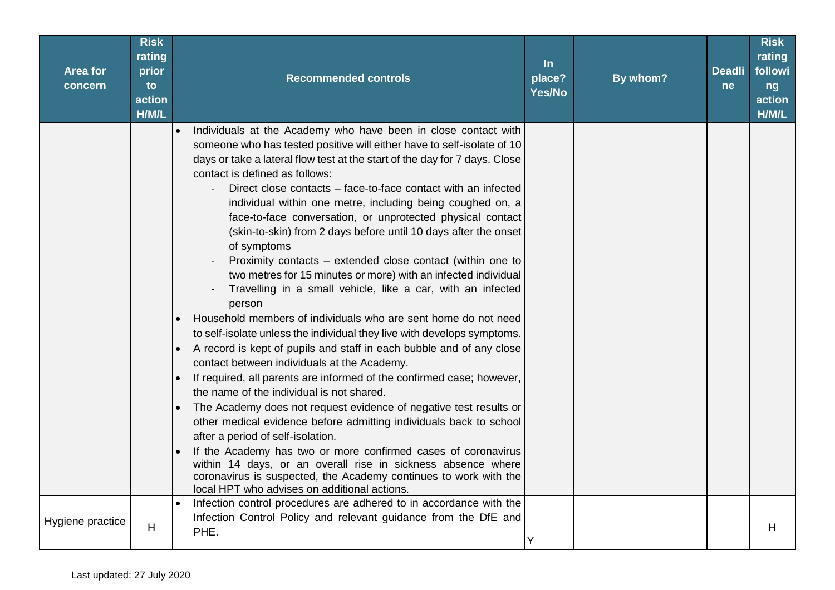| <b>Area for</b><br>concern | <b>Risk</b><br>rating<br>prior<br>to<br>action<br>H/M/L | <b>Recommended controls</b>                                                                                                                                                                                                                                                                                                                                                                                                                                                                                                                                                                                                                                                                                                                                                                                                                                                                                                                                                                                                                                                                                                                                                                                                                                                                                                                                                                                                                                                                                                                                                                                            | $\ln$<br>place?<br><b>Yes/No</b> | By whom? | <b>Deadli</b><br>ne | <b>Risk</b><br>rating<br>followi<br>ng<br>action<br>H/M/L |
|----------------------------|---------------------------------------------------------|------------------------------------------------------------------------------------------------------------------------------------------------------------------------------------------------------------------------------------------------------------------------------------------------------------------------------------------------------------------------------------------------------------------------------------------------------------------------------------------------------------------------------------------------------------------------------------------------------------------------------------------------------------------------------------------------------------------------------------------------------------------------------------------------------------------------------------------------------------------------------------------------------------------------------------------------------------------------------------------------------------------------------------------------------------------------------------------------------------------------------------------------------------------------------------------------------------------------------------------------------------------------------------------------------------------------------------------------------------------------------------------------------------------------------------------------------------------------------------------------------------------------------------------------------------------------------------------------------------------------|----------------------------------|----------|---------------------|-----------------------------------------------------------|
|                            |                                                         | Individuals at the Academy who have been in close contact with<br>$\bullet$<br>someone who has tested positive will either have to self-isolate of 10<br>days or take a lateral flow test at the start of the day for 7 days. Close<br>contact is defined as follows:<br>Direct close contacts - face-to-face contact with an infected<br>individual within one metre, including being coughed on, a<br>face-to-face conversation, or unprotected physical contact<br>(skin-to-skin) from 2 days before until 10 days after the onset<br>of symptoms<br>Proximity contacts – extended close contact (within one to<br>two metres for 15 minutes or more) with an infected individual<br>Travelling in a small vehicle, like a car, with an infected<br>person<br>Household members of individuals who are sent home do not need<br>$\bullet$<br>to self-isolate unless the individual they live with develops symptoms.<br>A record is kept of pupils and staff in each bubble and of any close<br>contact between individuals at the Academy.<br>If required, all parents are informed of the confirmed case; however,<br>the name of the individual is not shared.<br>The Academy does not request evidence of negative test results or<br>$\bullet$<br>other medical evidence before admitting individuals back to school<br>after a period of self-isolation.<br>If the Academy has two or more confirmed cases of coronavirus<br>within 14 days, or an overall rise in sickness absence where<br>coronavirus is suspected, the Academy continues to work with the<br>local HPT who advises on additional actions. |                                  |          |                     |                                                           |
| Hygiene practice           | H                                                       | Infection control procedures are adhered to in accordance with the<br>Infection Control Policy and relevant guidance from the DfE and<br>PHE.                                                                                                                                                                                                                                                                                                                                                                                                                                                                                                                                                                                                                                                                                                                                                                                                                                                                                                                                                                                                                                                                                                                                                                                                                                                                                                                                                                                                                                                                          | Y                                |          |                     | H                                                         |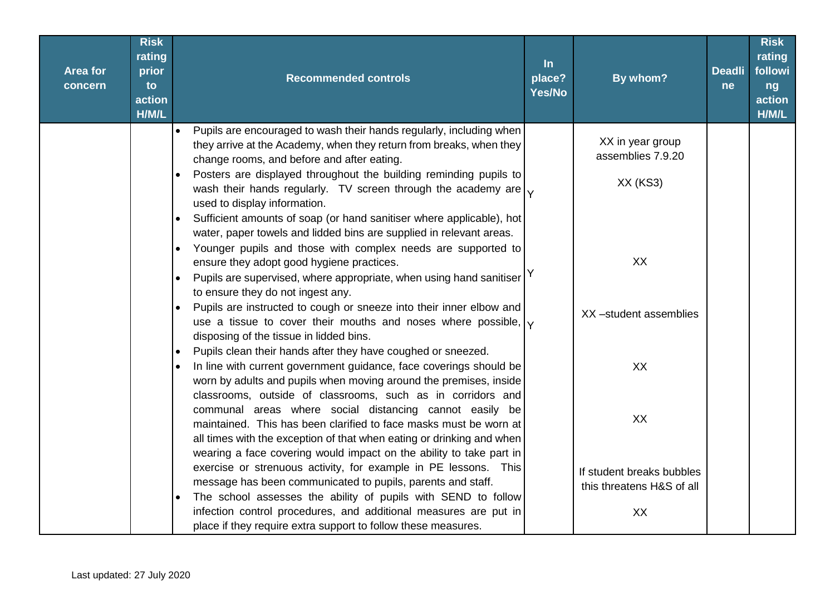| <b>Area for</b><br>concern | <b>Risk</b><br>rating<br>prior<br>to<br>action<br>H/M/L | <b>Recommended controls</b>                                                                                                                                                             | In<br>place?<br>Yes/No | By whom?                                               | <b>Deadli</b><br><sub>ne</sub> | <b>Risk</b><br>rating<br>followi<br>ng<br>action<br>H/M/L |
|----------------------------|---------------------------------------------------------|-----------------------------------------------------------------------------------------------------------------------------------------------------------------------------------------|------------------------|--------------------------------------------------------|--------------------------------|-----------------------------------------------------------|
|                            |                                                         | Pupils are encouraged to wash their hands regularly, including when<br>$\bullet$<br>they arrive at the Academy, when they return from breaks, when they                                 |                        | XX in year group                                       |                                |                                                           |
|                            |                                                         | change rooms, and before and after eating.                                                                                                                                              |                        | assemblies 7.9.20                                      |                                |                                                           |
|                            |                                                         | Posters are displayed throughout the building reminding pupils to<br>wash their hands regularly. TV screen through the academy are $\vert_{\mathsf{Y}}$<br>used to display information. |                        | XX (KS3)                                               |                                |                                                           |
|                            |                                                         | Sufficient amounts of soap (or hand sanitiser where applicable), hot                                                                                                                    |                        |                                                        |                                |                                                           |
|                            |                                                         | water, paper towels and lidded bins are supplied in relevant areas.                                                                                                                     |                        |                                                        |                                |                                                           |
|                            |                                                         | Younger pupils and those with complex needs are supported to<br>$\bullet$<br>ensure they adopt good hygiene practices.                                                                  |                        | XX                                                     |                                |                                                           |
|                            |                                                         | Pupils are supervised, where appropriate, when using hand sanitiser   Y<br>$\bullet$                                                                                                    |                        |                                                        |                                |                                                           |
|                            |                                                         | to ensure they do not ingest any.                                                                                                                                                       |                        |                                                        |                                |                                                           |
|                            |                                                         | Pupils are instructed to cough or sneeze into their inner elbow and                                                                                                                     |                        | XX-student assemblies                                  |                                |                                                           |
|                            |                                                         | use a tissue to cover their mouths and noses where possible, $ y $                                                                                                                      |                        |                                                        |                                |                                                           |
|                            |                                                         | disposing of the tissue in lidded bins.                                                                                                                                                 |                        |                                                        |                                |                                                           |
|                            |                                                         | Pupils clean their hands after they have coughed or sneezed.<br>$\bullet$<br>In line with current government guidance, face coverings should be                                         |                        | XX                                                     |                                |                                                           |
|                            |                                                         | worn by adults and pupils when moving around the premises, inside                                                                                                                       |                        |                                                        |                                |                                                           |
|                            |                                                         | classrooms, outside of classrooms, such as in corridors and                                                                                                                             |                        |                                                        |                                |                                                           |
|                            |                                                         | communal areas where social distancing cannot easily be                                                                                                                                 |                        | XX                                                     |                                |                                                           |
|                            |                                                         | maintained. This has been clarified to face masks must be worn at                                                                                                                       |                        |                                                        |                                |                                                           |
|                            |                                                         | all times with the exception of that when eating or drinking and when                                                                                                                   |                        |                                                        |                                |                                                           |
|                            |                                                         | wearing a face covering would impact on the ability to take part in<br>exercise or strenuous activity, for example in PE lessons. This                                                  |                        |                                                        |                                |                                                           |
|                            |                                                         | message has been communicated to pupils, parents and staff.                                                                                                                             |                        | If student breaks bubbles<br>this threatens H&S of all |                                |                                                           |
|                            |                                                         | The school assesses the ability of pupils with SEND to follow                                                                                                                           |                        |                                                        |                                |                                                           |
|                            |                                                         | infection control procedures, and additional measures are put in                                                                                                                        |                        | XX                                                     |                                |                                                           |
|                            |                                                         | place if they require extra support to follow these measures.                                                                                                                           |                        |                                                        |                                |                                                           |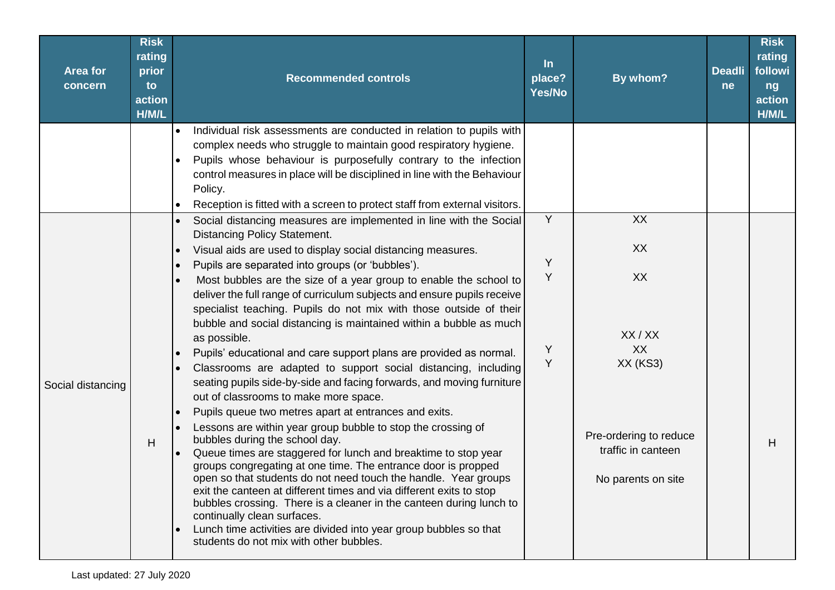| <b>Area for</b><br>concern | <b>Risk</b><br>rating<br>prior<br>to<br>action<br>H/M/L | <b>Recommended controls</b>                                                                                                                                                                                                                                                                                                                                                                                                                                                                                                                                                                                                                                                                                                                                                                                                                                                                                                                                                                                                                                                                                                                                                                                                                                                                                                                                                                                                                                                   | $\ln$<br>place?<br>Yes/No | By whom?                                                                                                        | <b>Deadli</b><br>ne | <b>Risk</b><br>rating<br>followi<br>ng<br>action<br>H/M/L |
|----------------------------|---------------------------------------------------------|-------------------------------------------------------------------------------------------------------------------------------------------------------------------------------------------------------------------------------------------------------------------------------------------------------------------------------------------------------------------------------------------------------------------------------------------------------------------------------------------------------------------------------------------------------------------------------------------------------------------------------------------------------------------------------------------------------------------------------------------------------------------------------------------------------------------------------------------------------------------------------------------------------------------------------------------------------------------------------------------------------------------------------------------------------------------------------------------------------------------------------------------------------------------------------------------------------------------------------------------------------------------------------------------------------------------------------------------------------------------------------------------------------------------------------------------------------------------------------|---------------------------|-----------------------------------------------------------------------------------------------------------------|---------------------|-----------------------------------------------------------|
|                            |                                                         | Individual risk assessments are conducted in relation to pupils with<br>complex needs who struggle to maintain good respiratory hygiene.<br>Pupils whose behaviour is purposefully contrary to the infection<br>control measures in place will be disciplined in line with the Behaviour<br>Policy.<br>Reception is fitted with a screen to protect staff from external visitors.                                                                                                                                                                                                                                                                                                                                                                                                                                                                                                                                                                                                                                                                                                                                                                                                                                                                                                                                                                                                                                                                                             |                           |                                                                                                                 |                     |                                                           |
| Social distancing          | H                                                       | Social distancing measures are implemented in line with the Social<br><b>Distancing Policy Statement.</b><br>Visual aids are used to display social distancing measures.<br>$\bullet$<br>Pupils are separated into groups (or 'bubbles').<br>Most bubbles are the size of a year group to enable the school to<br>deliver the full range of curriculum subjects and ensure pupils receive<br>specialist teaching. Pupils do not mix with those outside of their<br>bubble and social distancing is maintained within a bubble as much<br>as possible.<br>Pupils' educational and care support plans are provided as normal.<br>Classrooms are adapted to support social distancing, including<br>seating pupils side-by-side and facing forwards, and moving furniture<br>out of classrooms to make more space.<br>Pupils queue two metres apart at entrances and exits.<br>Lessons are within year group bubble to stop the crossing of<br>bubbles during the school day.<br>Queue times are staggered for lunch and breaktime to stop year<br>groups congregating at one time. The entrance door is propped<br>open so that students do not need touch the handle. Year groups<br>exit the canteen at different times and via different exits to stop<br>bubbles crossing. There is a cleaner in the canteen during lunch to<br>continually clean surfaces.<br>Lunch time activities are divided into year group bubbles so that<br>students do not mix with other bubbles. | Y<br>Y<br>Y<br>Υ<br>Y     | XX<br>XX<br>XX<br>XX/XX<br>XX<br>XX (KS3)<br>Pre-ordering to reduce<br>traffic in canteen<br>No parents on site |                     | H                                                         |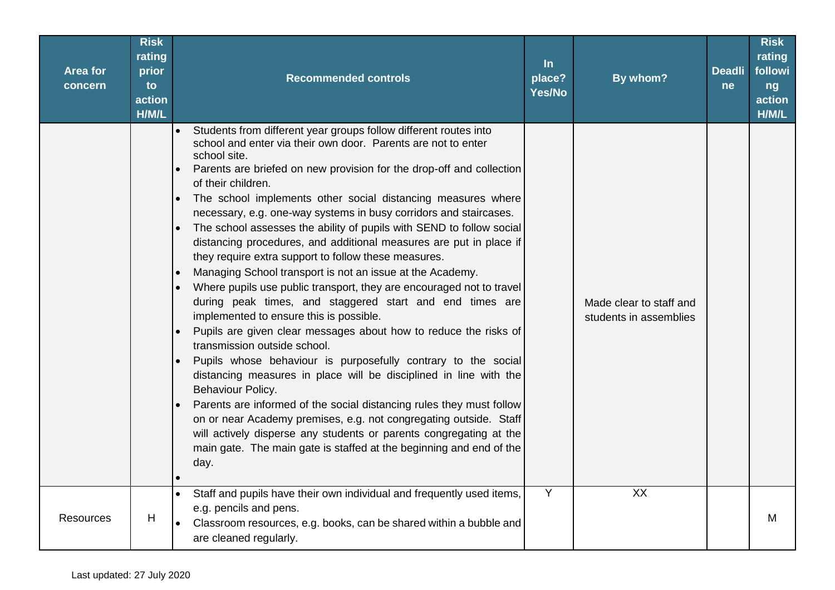| <b>Area for</b><br>concern | <b>Risk</b><br>rating<br>prior<br>to<br>action<br>H/M/L | <b>Recommended controls</b>                                                                                                                                                                                                                                                                                                                                                                                                                                                                                                                                                                                                                                                                                                                                                                                                                                                                                                                                                                                                                                                                                                                                                                                                                                                                                                                                                                             | In<br>place?<br>Yes/No | By whom?                                          | <b>Deadli</b><br>ne | <b>Risk</b><br>rating<br>followi<br>ng<br>action<br>H/M/L |
|----------------------------|---------------------------------------------------------|---------------------------------------------------------------------------------------------------------------------------------------------------------------------------------------------------------------------------------------------------------------------------------------------------------------------------------------------------------------------------------------------------------------------------------------------------------------------------------------------------------------------------------------------------------------------------------------------------------------------------------------------------------------------------------------------------------------------------------------------------------------------------------------------------------------------------------------------------------------------------------------------------------------------------------------------------------------------------------------------------------------------------------------------------------------------------------------------------------------------------------------------------------------------------------------------------------------------------------------------------------------------------------------------------------------------------------------------------------------------------------------------------------|------------------------|---------------------------------------------------|---------------------|-----------------------------------------------------------|
|                            |                                                         | Students from different year groups follow different routes into<br>school and enter via their own door. Parents are not to enter<br>school site.<br>Parents are briefed on new provision for the drop-off and collection<br>of their children.<br>The school implements other social distancing measures where<br>necessary, e.g. one-way systems in busy corridors and staircases.<br>The school assesses the ability of pupils with SEND to follow social<br>distancing procedures, and additional measures are put in place if<br>they require extra support to follow these measures.<br>Managing School transport is not an issue at the Academy.<br>Where pupils use public transport, they are encouraged not to travel<br>during peak times, and staggered start and end times are<br>implemented to ensure this is possible.<br>Pupils are given clear messages about how to reduce the risks of<br>transmission outside school.<br>Pupils whose behaviour is purposefully contrary to the social<br>distancing measures in place will be disciplined in line with the<br>Behaviour Policy.<br>Parents are informed of the social distancing rules they must follow<br>on or near Academy premises, e.g. not congregating outside. Staff<br>will actively disperse any students or parents congregating at the<br>main gate. The main gate is staffed at the beginning and end of the<br>day. |                        | Made clear to staff and<br>students in assemblies |                     |                                                           |
| Resources                  | H                                                       | Staff and pupils have their own individual and frequently used items,<br>e.g. pencils and pens.<br>Classroom resources, e.g. books, can be shared within a bubble and<br>are cleaned regularly.                                                                                                                                                                                                                                                                                                                                                                                                                                                                                                                                                                                                                                                                                                                                                                                                                                                                                                                                                                                                                                                                                                                                                                                                         | $\overline{Y}$         | $\overline{XX}$                                   |                     | м                                                         |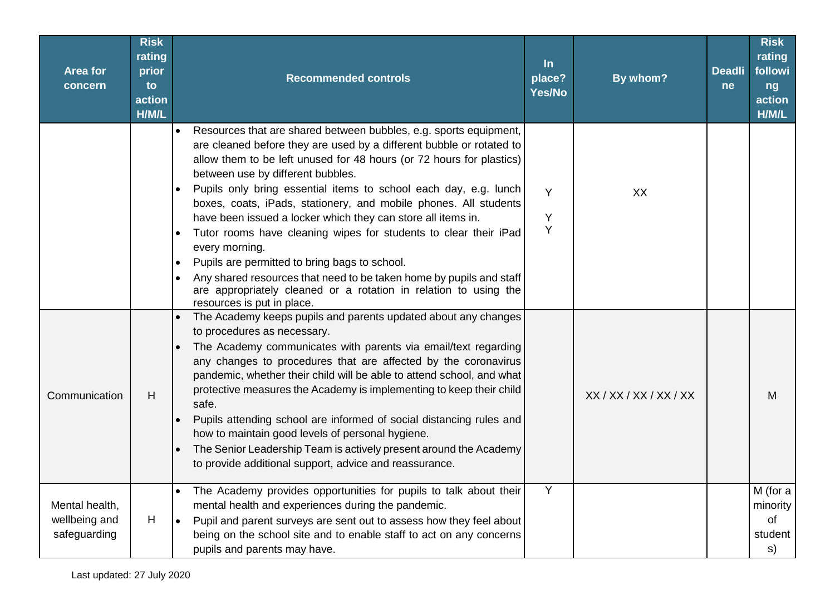| <b>Area for</b><br>concern                      | <b>Risk</b><br>rating<br>prior<br>to<br>action<br>H/M/L | <b>Recommended controls</b>                                                                                                                                                                                                                                                                                                                                                                                                                                                                                                                                                                                                                                                                                                                                                    | $\ln$<br>place?<br>Yes/No | By whom?               | <b>Deadli</b><br>ne | <b>Risk</b><br>rating<br>followi<br>ng<br>action<br>H/M/L |
|-------------------------------------------------|---------------------------------------------------------|--------------------------------------------------------------------------------------------------------------------------------------------------------------------------------------------------------------------------------------------------------------------------------------------------------------------------------------------------------------------------------------------------------------------------------------------------------------------------------------------------------------------------------------------------------------------------------------------------------------------------------------------------------------------------------------------------------------------------------------------------------------------------------|---------------------------|------------------------|---------------------|-----------------------------------------------------------|
|                                                 |                                                         | Resources that are shared between bubbles, e.g. sports equipment,<br>are cleaned before they are used by a different bubble or rotated to<br>allow them to be left unused for 48 hours (or 72 hours for plastics)<br>between use by different bubbles.<br>Pupils only bring essential items to school each day, e.g. lunch<br>boxes, coats, iPads, stationery, and mobile phones. All students<br>have been issued a locker which they can store all items in.<br>Tutor rooms have cleaning wipes for students to clear their iPad<br>every morning.<br>Pupils are permitted to bring bags to school.<br>Any shared resources that need to be taken home by pupils and staff<br>are appropriately cleaned or a rotation in relation to using the<br>resources is put in place. | Y<br>Y<br>Y               | XX                     |                     |                                                           |
| Communication                                   | H                                                       | The Academy keeps pupils and parents updated about any changes<br>to procedures as necessary.<br>The Academy communicates with parents via email/text regarding<br>any changes to procedures that are affected by the coronavirus<br>pandemic, whether their child will be able to attend school, and what<br>protective measures the Academy is implementing to keep their child<br>safe.<br>Pupils attending school are informed of social distancing rules and<br>how to maintain good levels of personal hygiene.<br>The Senior Leadership Team is actively present around the Academy<br>to provide additional support, advice and reassurance.                                                                                                                           |                           | XX / XX / XX / XX / XX |                     | M                                                         |
| Mental health,<br>wellbeing and<br>safeguarding | H                                                       | The Academy provides opportunities for pupils to talk about their<br>mental health and experiences during the pandemic.<br>Pupil and parent surveys are sent out to assess how they feel about<br>being on the school site and to enable staff to act on any concerns<br>pupils and parents may have.                                                                                                                                                                                                                                                                                                                                                                                                                                                                          | $\overline{Y}$            |                        |                     | M (for a<br>minority<br>of<br>student<br>s)               |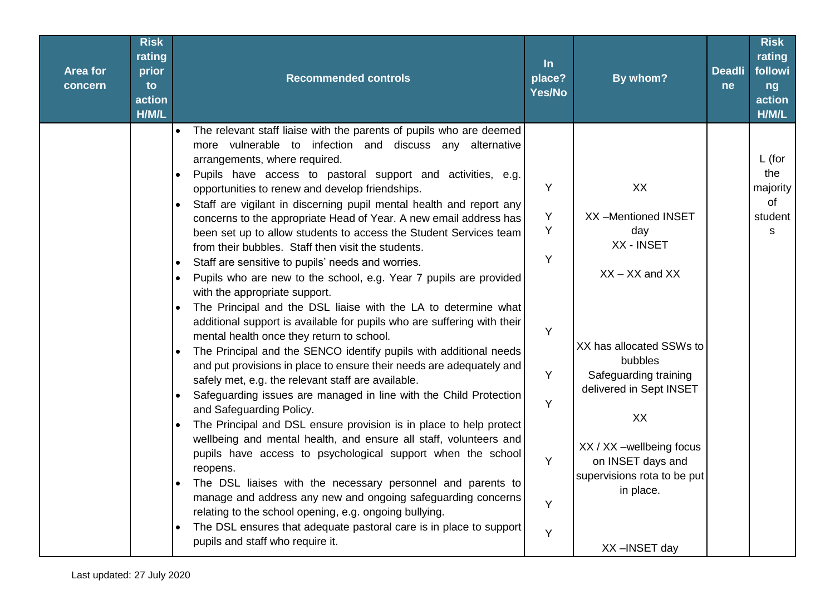| <b>Area for</b><br>concern | <b>Risk</b><br>rating<br>prior<br>to<br>action<br>H/M/L | <b>Recommended controls</b>                                                                                                                                                                                                                                                                                                                                                                                                                                                                                                                                                                                                                                                                                                                                                                                                                                                                                                                                                                                                                                                                                                                                                                                                                                                                                                                                                                                                                                                                                                                                                                                                                                                                                                                 | $\ln$<br>place?<br>Yes/No                      | By whom?                                                                                                                                                                                                                                                                          | <b>Deadli</b><br>ne | <b>Risk</b><br>rating<br>followi<br>ng<br>action<br>H/M/L |
|----------------------------|---------------------------------------------------------|---------------------------------------------------------------------------------------------------------------------------------------------------------------------------------------------------------------------------------------------------------------------------------------------------------------------------------------------------------------------------------------------------------------------------------------------------------------------------------------------------------------------------------------------------------------------------------------------------------------------------------------------------------------------------------------------------------------------------------------------------------------------------------------------------------------------------------------------------------------------------------------------------------------------------------------------------------------------------------------------------------------------------------------------------------------------------------------------------------------------------------------------------------------------------------------------------------------------------------------------------------------------------------------------------------------------------------------------------------------------------------------------------------------------------------------------------------------------------------------------------------------------------------------------------------------------------------------------------------------------------------------------------------------------------------------------------------------------------------------------|------------------------------------------------|-----------------------------------------------------------------------------------------------------------------------------------------------------------------------------------------------------------------------------------------------------------------------------------|---------------------|-----------------------------------------------------------|
|                            |                                                         | The relevant staff liaise with the parents of pupils who are deemed<br>more vulnerable to infection and discuss any alternative<br>arrangements, where required.<br>Pupils have access to pastoral support and activities, e.g.<br>opportunities to renew and develop friendships.<br>Staff are vigilant in discerning pupil mental health and report any<br>concerns to the appropriate Head of Year. A new email address has<br>been set up to allow students to access the Student Services team<br>from their bubbles. Staff then visit the students.<br>Staff are sensitive to pupils' needs and worries.<br>Pupils who are new to the school, e.g. Year 7 pupils are provided<br>with the appropriate support.<br>The Principal and the DSL liaise with the LA to determine what<br>additional support is available for pupils who are suffering with their<br>mental health once they return to school.<br>The Principal and the SENCO identify pupils with additional needs<br>and put provisions in place to ensure their needs are adequately and<br>safely met, e.g. the relevant staff are available.<br>Safeguarding issues are managed in line with the Child Protection<br>and Safeguarding Policy.<br>The Principal and DSL ensure provision is in place to help protect<br>wellbeing and mental health, and ensure all staff, volunteers and<br>pupils have access to psychological support when the school<br>reopens.<br>The DSL liaises with the necessary personnel and parents to<br>manage and address any new and ongoing safeguarding concerns<br>relating to the school opening, e.g. ongoing bullying.<br>The DSL ensures that adequate pastoral care is in place to support<br>pupils and staff who require it. | Y<br>Y<br>Y<br>Y<br>Y<br>Y<br>Y<br>Y<br>Υ<br>Y | XX<br>XX-Mentioned INSET<br>day<br>XX - INSET<br>$XX - XX$ and $XX$<br>XX has allocated SSWs to<br>bubbles<br>Safeguarding training<br>delivered in Sept INSET<br>XX<br>XX / XX -wellbeing focus<br>on INSET days and<br>supervisions rota to be put<br>in place.<br>XX-INSET day |                     | $L$ (for<br>the<br>majority<br>0f<br>student<br>s         |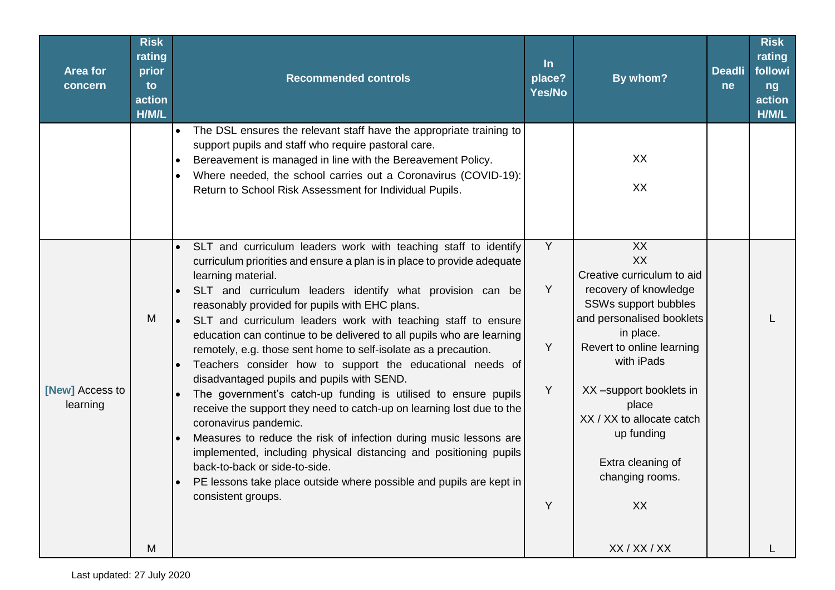| <b>Area for</b><br>concern  | <b>Risk</b><br>rating<br>prior<br>to<br>action<br>H/M/L | <b>Recommended controls</b>                                                                                                                                                                                                                                                                                                                                                                                                                                                                                                                                                                                                                                                                                                                                                                                                                                                                                                                                                                                                                         | $\ln$<br>place?<br>Yes/No | By whom?                                                                                                                                                                                                                                                                                                 | <b>Deadli</b><br>ne | <b>Risk</b><br>rating<br>followi<br>ng<br>action<br>H/M/L |
|-----------------------------|---------------------------------------------------------|-----------------------------------------------------------------------------------------------------------------------------------------------------------------------------------------------------------------------------------------------------------------------------------------------------------------------------------------------------------------------------------------------------------------------------------------------------------------------------------------------------------------------------------------------------------------------------------------------------------------------------------------------------------------------------------------------------------------------------------------------------------------------------------------------------------------------------------------------------------------------------------------------------------------------------------------------------------------------------------------------------------------------------------------------------|---------------------------|----------------------------------------------------------------------------------------------------------------------------------------------------------------------------------------------------------------------------------------------------------------------------------------------------------|---------------------|-----------------------------------------------------------|
|                             |                                                         | The DSL ensures the relevant staff have the appropriate training to<br>$\bullet$<br>support pupils and staff who require pastoral care.<br>Bereavement is managed in line with the Bereavement Policy.<br>Where needed, the school carries out a Coronavirus (COVID-19):<br>Return to School Risk Assessment for Individual Pupils.                                                                                                                                                                                                                                                                                                                                                                                                                                                                                                                                                                                                                                                                                                                 |                           | XX<br>XX                                                                                                                                                                                                                                                                                                 |                     |                                                           |
| [New] Access to<br>learning | M                                                       | SLT and curriculum leaders work with teaching staff to identify<br>curriculum priorities and ensure a plan is in place to provide adequate<br>learning material.<br>SLT and curriculum leaders identify what provision can be<br>reasonably provided for pupils with EHC plans.<br>SLT and curriculum leaders work with teaching staff to ensure<br>education can continue to be delivered to all pupils who are learning<br>remotely, e.g. those sent home to self-isolate as a precaution.<br>Teachers consider how to support the educational needs of<br>disadvantaged pupils and pupils with SEND.<br>The government's catch-up funding is utilised to ensure pupils<br>receive the support they need to catch-up on learning lost due to the<br>coronavirus pandemic.<br>Measures to reduce the risk of infection during music lessons are<br>implemented, including physical distancing and positioning pupils<br>back-to-back or side-to-side.<br>PE lessons take place outside where possible and pupils are kept in<br>consistent groups. | Y<br>Y<br>Y<br>Y<br>Y     | XX<br>XX<br>Creative curriculum to aid<br>recovery of knowledge<br>SSWs support bubbles<br>and personalised booklets<br>in place.<br>Revert to online learning<br>with iPads<br>XX-support booklets in<br>place<br>XX / XX to allocate catch<br>up funding<br>Extra cleaning of<br>changing rooms.<br>XX |                     |                                                           |
|                             | M                                                       |                                                                                                                                                                                                                                                                                                                                                                                                                                                                                                                                                                                                                                                                                                                                                                                                                                                                                                                                                                                                                                                     |                           | XX/XX/XX                                                                                                                                                                                                                                                                                                 |                     |                                                           |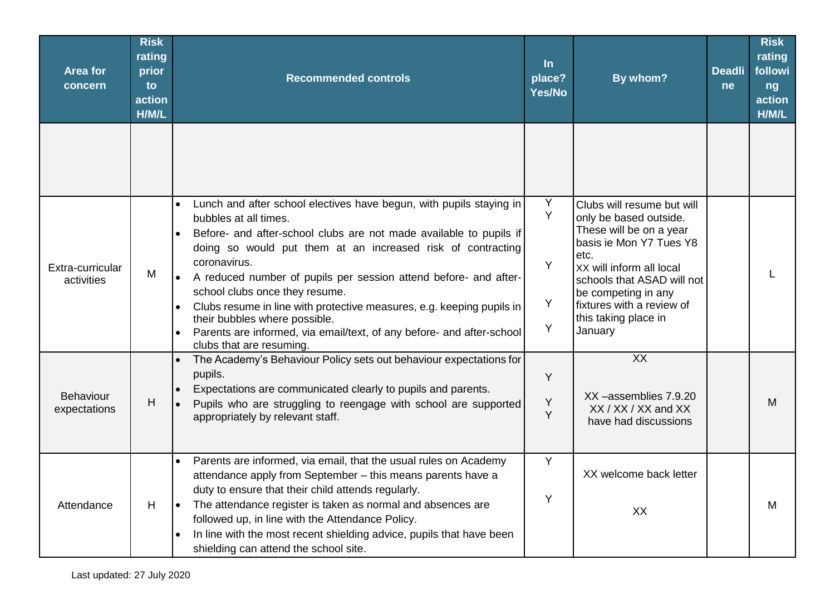| <b>Area for</b><br>concern       | <b>Risk</b><br>rating<br>prior<br>to<br>action<br>H/M/L | <b>Recommended controls</b>                                                                                                                                                                                                                                                                                                                                                                                                                                                                                                                                            | $\ln$<br>place?<br><b>Yes/No</b> | By whom?                                                                                                                                                                                                                                                            | <b>Deadli</b><br>ne | <b>Risk</b><br>rating<br>followi<br>ng<br>action<br>H/M/L |
|----------------------------------|---------------------------------------------------------|------------------------------------------------------------------------------------------------------------------------------------------------------------------------------------------------------------------------------------------------------------------------------------------------------------------------------------------------------------------------------------------------------------------------------------------------------------------------------------------------------------------------------------------------------------------------|----------------------------------|---------------------------------------------------------------------------------------------------------------------------------------------------------------------------------------------------------------------------------------------------------------------|---------------------|-----------------------------------------------------------|
|                                  |                                                         |                                                                                                                                                                                                                                                                                                                                                                                                                                                                                                                                                                        |                                  |                                                                                                                                                                                                                                                                     |                     |                                                           |
| Extra-curricular<br>activities   | M                                                       | Lunch and after school electives have begun, with pupils staying in<br>bubbles at all times.<br>Before- and after-school clubs are not made available to pupils if<br>doing so would put them at an increased risk of contracting<br>coronavirus.<br>A reduced number of pupils per session attend before- and after-<br>school clubs once they resume.<br>Clubs resume in line with protective measures, e.g. keeping pupils in<br>their bubbles where possible.<br>Parents are informed, via email/text, of any before- and after-school<br>clubs that are resuming. | Y<br>Y<br>Y<br>Y<br>Υ            | Clubs will resume but will<br>only be based outside.<br>These will be on a year<br>basis ie Mon Y7 Tues Y8<br>etc.<br>XX will inform all local<br>schools that ASAD will not<br>be competing in any<br>fixtures with a review of<br>this taking place in<br>January |                     |                                                           |
| <b>Behaviour</b><br>expectations | H                                                       | The Academy's Behaviour Policy sets out behaviour expectations for<br>pupils.<br>Expectations are communicated clearly to pupils and parents.<br>Pupils who are struggling to reengage with school are supported<br>appropriately by relevant staff.                                                                                                                                                                                                                                                                                                                   | Y<br>Υ<br>Y                      | XX<br>XX-assemblies 7.9.20<br>XX / XX / XX and XX<br>have had discussions                                                                                                                                                                                           |                     | M                                                         |
| Attendance                       | H                                                       | Parents are informed, via email, that the usual rules on Academy<br>attendance apply from September - this means parents have a<br>duty to ensure that their child attends regularly.<br>The attendance register is taken as normal and absences are<br>followed up, in line with the Attendance Policy.<br>In line with the most recent shielding advice, pupils that have been<br>shielding can attend the school site.                                                                                                                                              | Y<br>Y                           | XX welcome back letter<br>XX                                                                                                                                                                                                                                        |                     | M                                                         |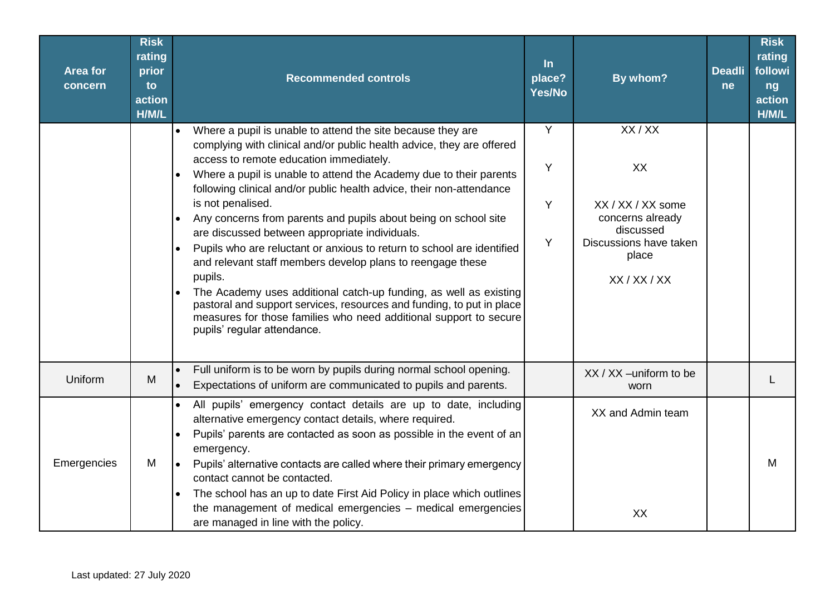| <b>Area for</b><br>concern | <b>Risk</b><br>rating<br>prior<br>to<br>action<br>H/M/L | <b>Recommended controls</b>                                                                                                                                                                                                                                                                                                                                                                                                                                                                                                                                                                                                                                                                                                                                                                                                                                                  | $\ln$<br>place?<br>Yes/No | By whom?                                                                                                         | <b>Deadli</b><br>ne | <b>Risk</b><br>rating<br>followi<br>ng<br>action<br>H/M/L |
|----------------------------|---------------------------------------------------------|------------------------------------------------------------------------------------------------------------------------------------------------------------------------------------------------------------------------------------------------------------------------------------------------------------------------------------------------------------------------------------------------------------------------------------------------------------------------------------------------------------------------------------------------------------------------------------------------------------------------------------------------------------------------------------------------------------------------------------------------------------------------------------------------------------------------------------------------------------------------------|---------------------------|------------------------------------------------------------------------------------------------------------------|---------------------|-----------------------------------------------------------|
|                            |                                                         | Where a pupil is unable to attend the site because they are<br>complying with clinical and/or public health advice, they are offered<br>access to remote education immediately.<br>Where a pupil is unable to attend the Academy due to their parents<br>following clinical and/or public health advice, their non-attendance<br>is not penalised.<br>Any concerns from parents and pupils about being on school site<br>are discussed between appropriate individuals.<br>Pupils who are reluctant or anxious to return to school are identified<br>and relevant staff members develop plans to reengage these<br>pupils.<br>The Academy uses additional catch-up funding, as well as existing<br>pastoral and support services, resources and funding, to put in place<br>measures for those families who need additional support to secure<br>pupils' regular attendance. | Y<br>Υ<br>Y<br>Y          | XX/XX<br>XX<br>XX / XX / XX some<br>concerns already<br>discussed<br>Discussions have taken<br>place<br>XX/XX/XX |                     |                                                           |
| Uniform                    | M                                                       | Full uniform is to be worn by pupils during normal school opening.<br>Expectations of uniform are communicated to pupils and parents.                                                                                                                                                                                                                                                                                                                                                                                                                                                                                                                                                                                                                                                                                                                                        |                           | XX / XX -uniform to be<br>worn                                                                                   |                     | L                                                         |
| Emergencies                | M                                                       | All pupils' emergency contact details are up to date, including<br>alternative emergency contact details, where required.<br>Pupils' parents are contacted as soon as possible in the event of an<br>emergency.<br>Pupils' alternative contacts are called where their primary emergency<br>contact cannot be contacted.<br>The school has an up to date First Aid Policy in place which outlines<br>the management of medical emergencies - medical emergencies<br>are managed in line with the policy.                                                                                                                                                                                                                                                                                                                                                                     |                           | XX and Admin team<br>XX                                                                                          |                     | M                                                         |